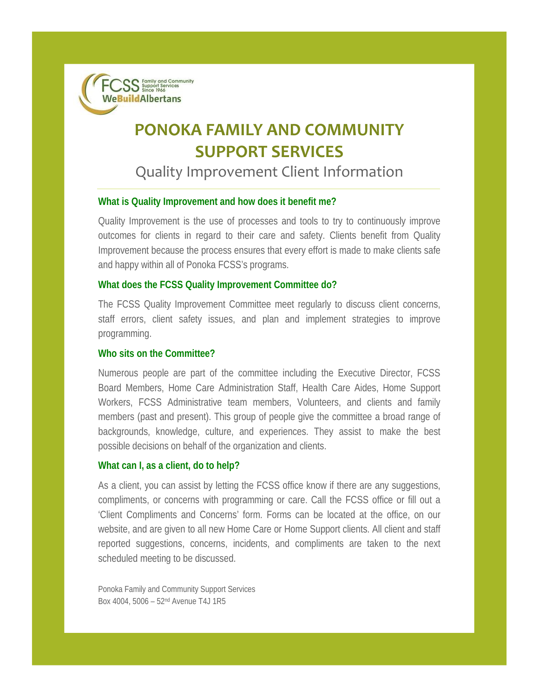SS Support Services **WeBuildAlbertans** 

# **PONOKA FAMILY AND COMMUNITY SUPPORT SERVICES**

## Quality Improvement Client Information

### **What is Quality Improvement and how does it benefit me?**

Quality Improvement is the use of processes and tools to try to continuously improve outcomes for clients in regard to their care and safety. Clients benefit from Quality Improvement because the process ensures that every effort is made to make clients safe and happy within all of Ponoka FCSS's programs.

### **What does the FCSS Quality Improvement Committee do?**

The FCSS Quality Improvement Committee meet regularly to discuss client concerns, staff errors, client safety issues, and plan and implement strategies to improve programming.

### **Who sits on the Committee?**

Numerous people are part of the committee including the Executive Director, FCSS Board Members, Home Care Administration Staff, Health Care Aides, Home Support Workers, FCSS Administrative team members, Volunteers, and clients and family members (past and present). This group of people give the committee a broad range of backgrounds, knowledge, culture, and experiences. They assist to make the best possible decisions on behalf of the organization and clients.

#### **What can I, as a client, do to help?**

As a client, you can assist by letting the FCSS office know if there are any suggestions, compliments, or concerns with programming or care. Call the FCSS office or fill out a 'Client Compliments and Concerns' form. Forms can be located at the office, on our website, and are given to all new Home Care or Home Support clients. All client and staff reported suggestions, concerns, incidents, and compliments are taken to the next scheduled meeting to be discussed.

Ponoka Family and Community Support Services Box 4004, 5006 – 52nd Avenue T4J 1R5